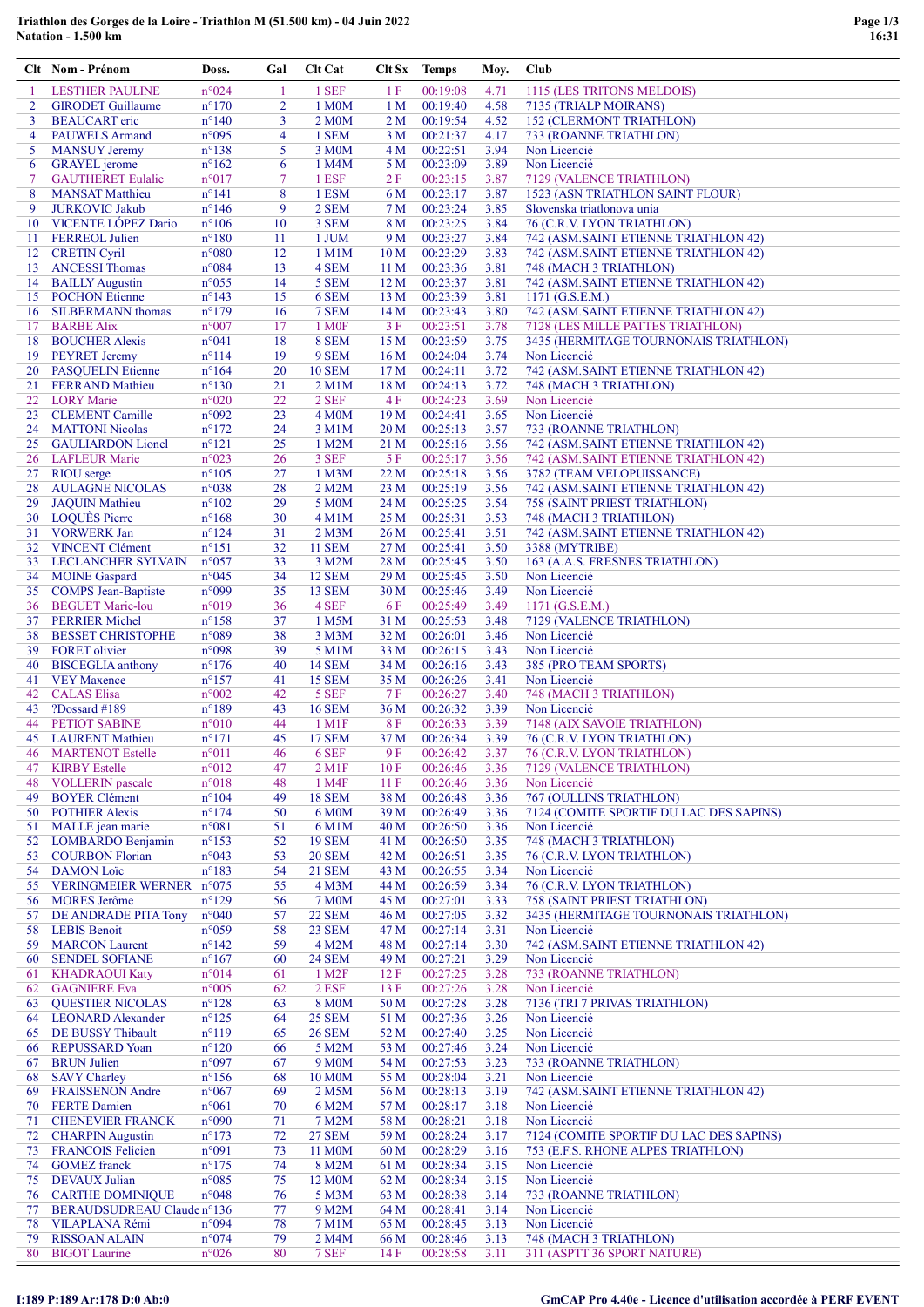## Triathlon des Gorges de la Loire - Triathlon M (51.500 km) - 04 Juin 2022 Natation - 1.500 km

|                | Clt Nom - Prénom                              | Doss.                            | Gal            | Clt Cat                | Clt Sx          | <b>Temps</b>         | Moy.         | Club                                                                      |
|----------------|-----------------------------------------------|----------------------------------|----------------|------------------------|-----------------|----------------------|--------------|---------------------------------------------------------------------------|
|                | <b>LESTHER PAULINE</b>                        | n°024                            | -1             | 1 SEF                  | 1 F             | 00:19:08             | 4.71         | 1115 (LES TRITONS MELDOIS)                                                |
| $\overline{2}$ | <b>GIRODET</b> Guillaume                      | $n^{\circ}170$                   | $\overline{2}$ | 1 M0M                  | 1 M             | 00:19:40             | 4.58         | 7135 (TRIALP MOIRANS)                                                     |
| 3              | <b>BEAUCART</b> eric                          | $n^{\circ}140$                   | 3              | 2 M0M                  | 2 M             | 00:19:54             | 4.52         | <b>152 (CLERMONT TRIATHLON)</b>                                           |
| $\overline{4}$ | <b>PAUWELS Armand</b>                         | n°095                            | $\overline{4}$ | 1 SEM                  | 3 M             | 00:21:37             | 4.17         | 733 (ROANNE TRIATHLON)                                                    |
| 5              | <b>MANSUY Jeremy</b>                          | $n^{\circ}138$                   | 5              | 3 M <sub>0</sub> M     | 4 M             | 00:22:51             | 3.94         | Non Licencié                                                              |
| 6              | <b>GRAYEL</b> jerome                          | $n^{\circ}162$                   | 6              | 1 M4M                  | 5 M             | 00:23:09             | 3.89         | Non Licencié                                                              |
| $\overline{7}$ | <b>GAUTHERET Eulalie</b>                      | $n^{\circ}017$                   | $\tau$         | 1 ESF                  | 2F              | 00:23:15             | 3.87         | 7129 (VALENCE TRIATHLON)                                                  |
| 8              | <b>MANSAT Matthieu</b>                        | $n^{\circ}141$                   | 8              | 1 ESM                  | 6 M             | 00:23:17             | 3.87         | 1523 (ASN TRIATHLON SAINT FLOUR)                                          |
| 9              | <b>JURKOVIC Jakub</b>                         | $n^{\circ}$ 146                  | 9              | 2 SEM                  | 7 M             | 00:23:24             | 3.85         | Slovenska triatlonova unia                                                |
| 10             | <b>VICENTE LÓPEZ Dario</b>                    | $n^{\circ}106$                   | 10             | 3 SEM                  | 8 M             | 00:23:25             | 3.84         | 76 (C.R.V. LYON TRIATHLON)                                                |
| 11             | <b>FERREOL Julien</b>                         | $n^{\circ}180$                   | 11             | 1 JUM                  | 9 M             | 00:23:27             | 3.84         | 742 (ASM.SAINT ETIENNE TRIATHLON 42)                                      |
| 12             | <b>CRETIN Cyril</b>                           | $n^{\circ}080$                   | 12             | $1$ M $1$ M            | 10 <sub>M</sub> | 00:23:29             | 3.83         | 742 (ASM.SAINT ETIENNE TRIATHLON 42)                                      |
| 13             | <b>ANCESSI Thomas</b>                         | $n^{\circ}084$                   | 13             | 4 SEM                  | 11 <sub>M</sub> | 00:23:36             | 3.81         | 748 (MACH 3 TRIATHLON)                                                    |
| 14             | <b>BAILLY Augustin</b>                        | $n^{\circ}055$                   | 14             | 5 SEM                  | 12 <sub>M</sub> | 00:23:37             | 3.81         | 742 (ASM.SAINT ETIENNE TRIATHLON 42)                                      |
|                | 15 POCHON Etienne                             | $n^{\circ}143$                   | 15<br>16       | 6 SEM<br>7 SEM         | 13 <sub>M</sub> | 00:23:39<br>00:23:43 | 3.81<br>3.80 | $1171$ (G.S.E.M.)                                                         |
| 16<br>17       | <b>SILBERMANN</b> thomas<br><b>BARBE Alix</b> | $n^{\circ}179$<br>$n^{\circ}007$ | 17             | 1 M <sub>OF</sub>      | 14 M<br>3 F     | 00:23:51             | 3.78         | 742 (ASM.SAINT ETIENNE TRIATHLON 42)<br>7128 (LES MILLE PATTES TRIATHLON) |
| 18             | <b>BOUCHER Alexis</b>                         | $n^{\circ}041$                   | 18             | 8 SEM                  | 15 <sub>M</sub> | 00:23:59             | 3.75         | 3435 (HERMITAGE TOURNONAIS TRIATHLON)                                     |
|                | 19 PEYRET Jeremy                              | $n^{\circ}114$                   | 19             | 9 SEM                  | 16 <sub>M</sub> | 00:24:04             | 3.74         | Non Licencié                                                              |
|                | 20 PASQUELIN Etienne                          | $n^{\circ}164$                   | 20             | <b>10 SEM</b>          | 17 <sub>M</sub> | 00:24:11             | 3.72         | 742 (ASM.SAINT ETIENNE TRIATHLON 42)                                      |
|                | 21 FERRAND Mathieu                            | $n^{\circ}130$                   | 21             | $2$ M $1$ M            | 18 <sub>M</sub> | 00:24:13             | 3.72         | 748 (MACH 3 TRIATHLON)                                                    |
|                | 22 LORY Marie                                 | $n^{\circ}020$                   | 22             | 2 SEF                  | 4 F             | 00:24:23             | 3.69         | Non Licencié                                                              |
| 23             | <b>CLEMENT</b> Camille                        | n°092                            | 23             | 4 M <sub>0</sub> M     | 19 <sub>M</sub> | 00:24:41             | 3.65         | Non Licencié                                                              |
| 24             | <b>MATTONI Nicolas</b>                        | $n^{\circ}172$                   | 24             | 3 M1M                  | 20 <sub>M</sub> | 00:25:13             | 3.57         | 733 (ROANNE TRIATHLON)                                                    |
| 25             | <b>GAULIARDON Lionel</b>                      | $n^{\circ}121$                   | 25             | 1 M2M                  | 21 M            | 00:25:16             | 3.56         | 742 (ASM.SAINT ETIENNE TRIATHLON 42)                                      |
| 26             | <b>LAFLEUR Marie</b>                          | n°023                            | 26             | 3 SEF                  | 5F              | 00:25:17             | 3.56         | 742 (ASM.SAINT ETIENNE TRIATHLON 42)                                      |
|                | 27 RIOU serge                                 | $n^{\circ}105$                   | 27             | 1 M <sub>3</sub> M     | 22 M            | 00:25:18             | 3.56         | 3782 (TEAM VELOPUISSANCE)                                                 |
| 28             | <b>AULAGNE NICOLAS</b>                        | n°038                            | 28             | 2 M2M                  | 23 M            | 00:25:19             | 3.56         | 742 (ASM.SAINT ETIENNE TRIATHLON 42)                                      |
| 29             | <b>JAQUIN Mathieu</b>                         | $n^{\circ}102$                   | 29             | 5 M0M                  | 24 M            | 00:25:25             | 3.54         | <b>758 (SAINT PRIEST TRIATHLON)</b>                                       |
| 30             | <b>LOQUES Pierre</b>                          | $n^{\circ}168$                   | 30             | $4$ M $1$ M            | 25 M            | 00:25:31             | 3.53         | 748 (MACH 3 TRIATHLON)                                                    |
| 31             | <b>VORWERK Jan</b>                            | $n^{\circ}124$                   | 31             | $2$ M $3M$             | 26 M            | 00:25:41             | 3.51         | 742 (ASM.SAINT ETIENNE TRIATHLON 42)                                      |
| 32             | <b>VINCENT Clément</b>                        | $n^{\circ}151$                   | 32             | <b>11 SEM</b>          | 27 M            | 00:25:41             | 3.50         | 3388 (MYTRIBE)                                                            |
| 33             | LECLANCHER SYLVAIN                            | $n^{\circ}057$                   | 33             | 3 M2M                  | 28 M            | 00:25:45             | 3.50         | 163 (A.A.S. FRESNES TRIATHLON)                                            |
| 34             | <b>MOINE</b> Gaspard                          | $n^{\circ}045$                   | 34             | <b>12 SEM</b>          | 29 M            | 00:25:45             | 3.50         | Non Licencié                                                              |
| 35             | <b>COMPS</b> Jean-Baptiste                    | n°099                            | 35             | <b>13 SEM</b>          | 30 <sub>M</sub> | 00:25:46             | 3.49         | Non Licencié                                                              |
| 36             | <b>BEGUET Marie-lou</b>                       | n°019                            | 36             | 4 SEF                  | 6 F             | 00:25:49             | 3.49         | $1171$ (G.S.E.M.)                                                         |
| 37             | <b>PERRIER Michel</b>                         | $n^{\circ}158$                   | 37             | 1 M5M                  | 31 M            | 00:25:53             | 3.48         | 7129 (VALENCE TRIATHLON)                                                  |
| 38             | <b>BESSET CHRISTOPHE</b>                      | n°089                            | 38             | 3 M3M                  | 32 M            | 00:26:01             | 3.46         | Non Licencié                                                              |
| 39             | <b>FORET</b> olivier                          | n°098                            | 39             | 5 M1M                  | 33 M            | 00:26:15             | 3.43         | Non Licencié                                                              |
| 40             | <b>BISCEGLIA</b> anthony                      | $n^{\circ}176$                   | 40             | 14 SEM                 | 34 M            | 00:26:16             | 3.43         | 385 (PRO TEAM SPORTS)                                                     |
|                | 41 VEY Maxence                                | $n^{\circ}157$                   | 41             | <b>15 SEM</b>          | 35 M            | 00:26:26             | 3.41         | Non Licencié                                                              |
| 42             | <b>CALAS</b> Elisa                            | $n^{\circ}002$                   | 42             | 5 SEF                  | 7 F             | 00:26:27             | 3.40         | 748 (MACH 3 TRIATHLON)                                                    |
| 43             | $?$ Dossard #189                              | $n^{\circ}189$                   | 43             | <b>16 SEM</b>          | 36 M            | 00:26:32             | 3.39         | Non Licencié                                                              |
| 44             | <b>PETIOT SABINE</b>                          | $n^{\circ}010$                   | 44             | 1 M1F                  | 8 F             | 00:26:33             | 3.39         | 7148 (AIX SAVOIE TRIATHLON)                                               |
|                | 45 LAURENT Mathieu                            | $n^{\circ}171$                   | 45             | 17 SEM                 | 37 M            | 00:26:34             | 3.39         | 76 (C.R.V. LYON TRIATHLON)                                                |
| 46             | <b>MARTENOT Estelle</b>                       | $n^{\circ}011$                   | 46             | 6 SEF                  | 9 F             | 00:26:42             | 3.37         | 76 (C.R.V. LYON TRIATHLON)                                                |
| 47             | <b>KIRBY Estelle</b>                          | $n^{\circ}012$                   | 47             | $2$ M <sub>1</sub> $F$ | 10F             | 00:26:46             | 3.36         | 7129 (VALENCE TRIATHLON)                                                  |
| 48             | <b>VOLLERIN</b> pascale                       | $n^{\circ}018$                   | 48             | 1 M4F                  | 11F             | 00:26:46             | 3.36         | Non Licencié                                                              |
| 49             | <b>BOYER Clément</b>                          | $n^{\circ}104$                   | 49             | <b>18 SEM</b>          | 38 M            | 00:26:48             | 3.36         | 767 (OULLINS TRIATHLON)                                                   |
| 50             | <b>POTHIER Alexis</b>                         | $n^{\circ}174$                   | 50             | 6 M0M                  | 39 M            | 00:26:49             | 3.36         | 7124 (COMITE SPORTIF DU LAC DES SAPINS)                                   |
| 51             | MALLE jean marie                              | $n^{\circ}081$                   | 51             | 6 M1M                  | 40 M            | 00:26:50             | 3.36         | Non Licencié                                                              |
| 52             | <b>LOMBARDO</b> Benjamin                      | $n^{\circ}153$                   | 52             | <b>19 SEM</b>          | 41 M            | 00:26:50             | 3.35         | 748 (MACH 3 TRIATHLON)                                                    |
| 53             | <b>COURBON Florian</b>                        | $n^{\circ}043$                   | 53             | <b>20 SEM</b>          | 42 M            | 00:26:51             | 3.35         | 76 (C.R.V. LYON TRIATHLON)                                                |
| 54             | <b>DAMON</b> Loïc                             | $n^{\circ}183$                   | 54             | 21 SEM                 | 43 M            | 00:26:55             | 3.34         | Non Licencié                                                              |
| 55             | VERINGMEIER WERNER n°075                      |                                  | 55             | 4 M3M                  | 44 M            | 00:26:59             | 3.34         | 76 (C.R.V. LYON TRIATHLON)                                                |
| 56             | <b>MORES</b> Jerôme                           | $n^{\circ}129$                   | 56             | <b>7 M0M</b>           | 45 M            | 00:27:01             | 3.33         | <b>758 (SAINT PRIEST TRIATHLON)</b>                                       |
| 57             | DE ANDRADE PITA Tony                          | $n^{\circ}040$                   | 57             | <b>22 SEM</b>          | 46 M            | 00:27:05             | 3.32         | 3435 (HERMITAGE TOURNONAIS TRIATHLON)                                     |
| 58             | <b>LEBIS Benoit</b>                           | $n^{\circ}059$                   | 58             | <b>23 SEM</b>          | 47 M            | 00:27:14             | 3.31         | Non Licencié                                                              |
| 59             | <b>MARCON Laurent</b>                         | $n^{\circ}142$                   | 59             | 4 M2M                  | 48 M            | 00:27:14             | 3.30         | 742 (ASM.SAINT ETIENNE TRIATHLON 42)                                      |
| 60             | <b>SENDEL SOFIANE</b>                         | $n^{\circ}167$                   | 60             | <b>24 SEM</b>          | 49 M            | 00:27:21             | 3.29         | Non Licencié                                                              |
| 61             | <b>KHADRAOUI Katy</b>                         | $n^{\circ}014$                   | 61             | 1 M <sub>2</sub> F     | 12 F            | 00:27:25             | 3.28         | 733 (ROANNE TRIATHLON)                                                    |
| 62             | <b>GAGNIERE Eva</b>                           | $n^{\circ}005$                   | 62             | $2$ ESF $\,$           | 13F             | 00:27:26             | 3.28         | Non Licencié                                                              |
| 63             | <b>QUESTIER NICOLAS</b>                       | $n^{\circ}128$                   | 63             | <b>8 M0M</b>           | 50 M            | 00:27:28             | 3.28         | 7136 (TRI 7 PRIVAS TRIATHLON)                                             |
|                | 64 LEONARD Alexander                          | $n^{\circ}125$                   | 64             | <b>25 SEM</b>          | 51 M            | 00:27:36             | 3.26         | Non Licencié                                                              |
|                | 65 DE BUSSY Thibault                          | $n^{\circ}119$                   | 65             | <b>26 SEM</b>          | 52 M            | 00:27:40             | 3.25         | Non Licencié                                                              |
| 66             | <b>REPUSSARD Yoan</b>                         | $n^{\circ}120$                   | 66             | 5 M2M                  | 53 M            | 00:27:46             | 3.24         | Non Licencié                                                              |
| 67             | <b>BRUN Julien</b>                            | n°097                            | 67             | 9 M <sub>0</sub> M     | 54 M            | 00:27:53             | 3.23         | 733 (ROANNE TRIATHLON)                                                    |
| 68             | <b>SAVY Charley</b>                           | $n^{\circ}156$                   | 68             | 10 M0M                 | 55 M            | 00:28:04             | 3.21         | Non Licencié                                                              |
| 69             | <b>FRAISSENON Andre</b>                       | $n^{\circ}067$                   | 69             | 2 M5M                  | 56 M            | 00:28:13             | 3.19         | 742 (ASM.SAINT ETIENNE TRIATHLON 42)                                      |
| 70             | <b>FERTE Damien</b>                           | $n^{\circ}061$                   | 70             | 6 M2M                  | 57 M            | 00:28:17             | 3.18         | Non Licencié                                                              |
| 71             | <b>CHENEVIER FRANCK</b>                       | n°090                            | 71             | 7 M2M                  | 58 M            | 00:28:21             | 3.18         | Non Licencié                                                              |
|                | 72 CHARPIN Augustin                           | $n^{\circ}173$                   | 72             | <b>27 SEM</b>          | 59 M            | 00:28:24             | 3.17         | 7124 (COMITE SPORTIF DU LAC DES SAPINS)                                   |
| 73             | <b>FRANCOIS Felicien</b>                      | n°091                            | 73             | 11 M0M                 | 60 M            | 00:28:29             | 3.16         | 753 (E.F.S. RHONE ALPES TRIATHLON)                                        |
| 74             | <b>GOMEZ</b> franck                           | $n^{\circ}175$                   | 74             | 8 M2M                  | 61 M            | 00:28:34             | 3.15         | Non Licencié                                                              |
| 75             | <b>DEVAUX</b> Julian                          | $n^{\circ}085$                   | 75             | 12 M0M                 | 62 M            | 00:28:34             | 3.15         | Non Licencié                                                              |
|                | <b>76 CARTHE DOMINIQUE</b>                    | n°048                            | 76             | 5 M3M                  | 63 M            | 00:28:38             | 3.14         | 733 (ROANNE TRIATHLON)                                                    |
| 77             | BERAUDSUDREAU Claude nº136                    |                                  | 77             | 9 M2M                  | 64 M            | 00:28:41             | 3.14         | Non Licencié                                                              |
| 78             | VILAPLANA Rémi                                | n°094                            | 78             | 7 M1M                  | 65 M            | 00:28:45             | 3.13         | Non Licencié                                                              |
| 79             | <b>RISSOAN ALAIN</b>                          | $n^{\circ}074$                   | 79             | 2 M4M                  | 66 M            | 00:28:46             | 3.13         | 748 (MACH 3 TRIATHLON)                                                    |
| 80             | <b>BIGOT</b> Laurine                          | $n^{\circ}026$                   | 80             | 7 SEF                  | 14F             | 00:28:58             | 3.11         | 311 (ASPTT 36 SPORT NATURE)                                               |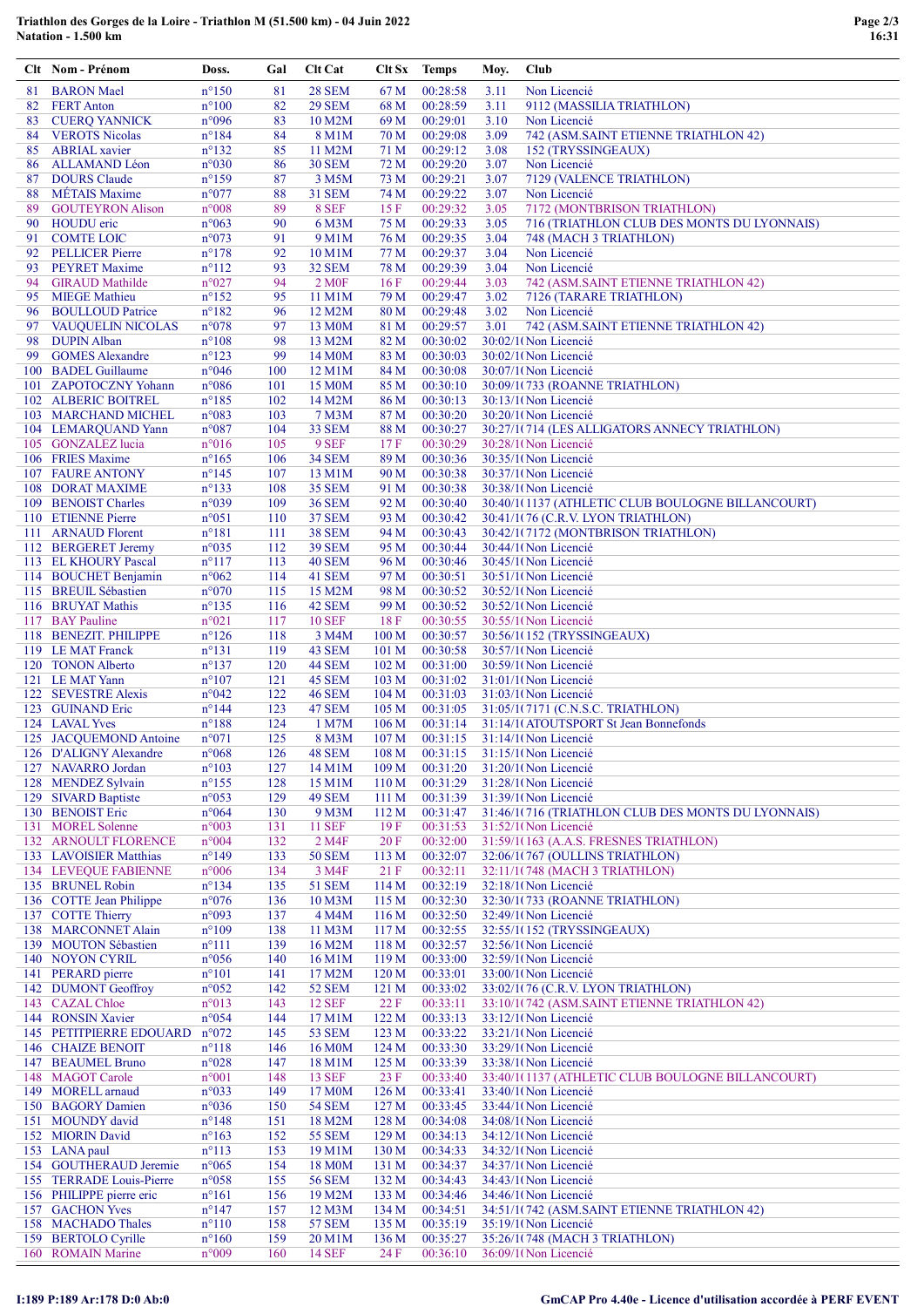## Triathlon des Gorges de la Loire - Triathlon M (51.500 km) - 04 Juin 2022<br>Natation - 1.500 km

|     | Clt Nom - Prénom                         | Doss.                            | Gal        | <b>Clt Cat</b>                |                                      | Clt Sx Temps         | Moy. | Club                                                      |
|-----|------------------------------------------|----------------------------------|------------|-------------------------------|--------------------------------------|----------------------|------|-----------------------------------------------------------|
| 81  | <b>BARON</b> Mael                        | $n^{\circ}150$                   | 81         | <b>28 SEM</b>                 | 67 M                                 | 00:28:58             | 3.11 | Non Licencié                                              |
| 82  | <b>FERT</b> Anton                        | $n^{\circ}100$                   | 82         | <b>29 SEM</b>                 | 68 M                                 | 00:28:59             | 3.11 | 9112 (MASSILIA TRIATHLON)                                 |
| 83  | <b>CUERQ YANNICK</b>                     | n°096                            | 83         | 10 M2M                        | 69 M                                 | 00:29:01             | 3.10 | Non Licencié                                              |
| 84  | <b>VEROTS Nicolas</b>                    | $n^{\circ}184$                   | 84         | 8 M1M                         | 70 M                                 | 00:29:08             | 3.09 | 742 (ASM.SAINT ETIENNE TRIATHLON 42)                      |
| 85  | <b>ABRIAL</b> xavier                     | $n^{\circ}132$                   | 85         | 11 M2M                        | 71 M                                 | 00:29:12             | 3.08 | 152 (TRYSSINGEAUX)                                        |
| 86  | ALLAMAND Léon                            | n°030                            | 86         | <b>30 SEM</b>                 | 72 M                                 | 00:29:20             | 3.07 | Non Licencié                                              |
| 87  | <b>DOURS</b> Claude                      | $n^{\circ}159$                   | 87         | 3 M5M                         | 73 M                                 | 00:29:21             | 3.07 | 7129 (VALENCE TRIATHLON)                                  |
| 88  | <b>METAIS</b> Maxime                     | n°077                            | 88         | <b>31 SEM</b>                 | 74 M                                 | 00:29:22             | 3.07 | Non Licencié                                              |
| 89  | <b>GOUTEYRON Alison</b>                  | $n^{\circ}008$                   | 89         | 8 SEF                         | 15F                                  | 00:29:32             | 3.05 | 7172 (MONTBRISON TRIATHLON)                               |
| 90  | <b>HOUDU</b> eric                        | $n^{\circ}063$                   | 90         | 6 M3M                         | 75 M                                 | 00:29:33             | 3.05 | 716 (TRIATHLON CLUB DES MONTS DU LYONNAIS)                |
| 91  | <b>COMTE LOIC</b>                        | n°073                            | 91         | 9 M1M                         | 76 M                                 | 00:29:35             | 3.04 | 748 (MACH 3 TRIATHLON)                                    |
| 92  | <b>PELLICER Pierre</b>                   | $n^{\circ}178$                   | 92         | 10 M1M                        | 77 M                                 | 00:29:37             | 3.04 | Non Licencié                                              |
| 93  | <b>PEYRET Maxime</b>                     | $n^{\circ}112$                   | 93         | 32 SEM                        | 78 M                                 | 00:29:39             | 3.04 | Non Licencié                                              |
| 94  | <b>GIRAUD Mathilde</b>                   | n°027                            | 94         | 2 M <sub>OF</sub>             | 16F                                  | 00:29:44             | 3.03 | 742 (ASM.SAINT ETIENNE TRIATHLON 42)                      |
| 95  | <b>MIEGE Mathieu</b>                     | $n^{\circ}152$                   | 95         | 11 M1M                        | 79 M                                 | 00:29:47             | 3.02 | 7126 (TARARE TRIATHLON)                                   |
| 96  | <b>BOULLOUD Patrice</b>                  | $n^{\circ}182$                   | 96         | 12 M2M                        | 80 M                                 | 00:29:48             | 3.02 | Non Licencié                                              |
|     | 97 VAUQUELIN NICOLAS                     | n°078                            | 97         | 13 M <sub>0</sub> M           | 81 M                                 | 00:29:57             | 3.01 | 742 (ASM.SAINT ETIENNE TRIATHLON 42)                      |
| 98  | <b>DUPIN Alban</b><br>99 GOMES Alexandre | $n^{\circ}108$<br>$n^{\circ}123$ | 98<br>99   | 13 M2M<br>14 M <sub>0</sub> M | 82 M<br>83 M                         | 00:30:02<br>00:30:03 |      | 30:02/1(Non Licencié<br>30:02/1(Non Licencié              |
|     | 100 BADEL Guillaume                      | $n^{\circ}046$                   | 100        | 12 M1M                        | 84 M                                 | 00:30:08             |      | 30:07/1(Non Licencié                                      |
|     | 101 ZAPOTOCZNY Yohann                    | n°086                            | 101        | 15 M0M                        | 85 M                                 | 00:30:10             |      | 30:09/1(733 (ROANNE TRIATHLON)                            |
|     | 102 ALBERIC BOITREL                      | $n^{\circ}185$                   | 102        | 14 M2M                        | 86 M                                 | 00:30:13             |      | 30:13/1(Non Licencié                                      |
|     | 103 MARCHAND MICHEL                      | n°083                            | 103        | 7 M3M                         | 87 M                                 | 00:30:20             |      | 30:20/1(Non Licencié                                      |
|     | 104 LEMARQUAND Yann                      | n°087                            | 104        | 33 SEM                        | 88 M                                 | 00:30:27             |      | 30:27/1(714 (LES ALLIGATORS ANNECY TRIATHLON)             |
|     | 105 GONZALEZ lucia                       | n°016                            | 105        | 9 SEF                         | 17F                                  | 00:30:29             |      | 30:28/1(Non Licencié                                      |
|     | 106 FRIES Maxime                         | $n^{\circ}165$                   | 106        | <b>34 SEM</b>                 | 89 M                                 | 00:30:36             |      | 30:35/1(Non Licencié                                      |
|     | 107 FAURE ANTONY                         | $n^{\circ}$ 145                  | 107        | 13 M1M                        | 90 M                                 | 00:30:38             |      | 30:37/1(Non Licencié                                      |
|     | 108 DORAT MAXIME                         | $n^{\circ}133$                   | 108        | <b>35 SEM</b>                 | 91 M                                 | 00:30:38             |      | 30:38/1(Non Licencié                                      |
|     | 109 BENOIST Charles                      | n°039                            | 109        | <b>36 SEM</b>                 | 92 M                                 | 00:30:40             |      | 30:40/1(1137 (ATHLETIC CLUB BOULOGNE BILLANCOURT)         |
|     | 110 ETIENNE Pierre                       | n°051                            | 110        | <b>37 SEM</b>                 | 93 M                                 | 00:30:42             |      | 30:41/1(76 (C.R.V. LYON TRIATHLON)                        |
|     | 111 ARNAUD Florent                       | $n^{\circ}181$                   | 111        | <b>38 SEM</b>                 | 94 M                                 | 00:30:43             |      | 30:42/1(7172 (MONTBRISON TRIATHLON)                       |
|     | 112 BERGERET Jeremy                      | $n^{\circ}035$                   | 112        | <b>39 SEM</b>                 | 95 M                                 | 00:30:44             |      | 30:44/1(Non Licencié                                      |
|     | 113 EL KHOURY Pascal                     | $n^{\circ}117$                   | 113        | 40 SEM                        | 96 M                                 | 00:30:46             |      | 30:45/1(Non Licencié                                      |
|     | 114 BOUCHET Benjamin                     | $n^{\circ}062$                   | 114        | 41 SEM                        | 97 M                                 | 00:30:51             |      | 30:51/1(Non Licencié                                      |
|     | 115 BREUIL Sébastien                     | n°070                            | 115        | 15 M2M                        | 98 M                                 | 00:30:52             |      | 30:52/1(Non Licencié                                      |
|     | 116 BRUYAT Mathis                        | $n^{\circ}$ 135                  | 116        | 42 SEM                        | 99 M                                 | 00:30:52             |      | 30:52/1(Non Licencié                                      |
|     | 117 BAY Pauline                          | $n^{\circ}021$                   | 117        | <b>10 SEF</b>                 | 18F                                  | 00:30:55             |      | 30:55/1(Non Licencié                                      |
|     | 118 BENEZIT. PHILIPPE                    | $n^{\circ}126$                   | 118        | 3 M4M                         | 100 <sub>M</sub>                     | 00:30:57             |      | 30:56/1(152 (TRYSSINGEAUX)                                |
|     | 119 LE MAT Franck                        | $n^{\circ}131$                   | 119        | 43 SEM                        | 101 M                                | 00:30:58             |      | 30:57/1(Non Licencié                                      |
|     | 120 TONON Alberto                        | $n^{\circ}137$                   | 120        | 44 SEM                        | 102 M                                | 00:31:00             |      | 30:59/1(Non Licencié                                      |
|     | 121 LE MAT Yann<br>122 SEVESTRE Alexis   | $n^{\circ}107$<br>n°042          | 121<br>122 | 45 SEM<br><b>46 SEM</b>       | 103 <sub>M</sub><br>104 <sub>M</sub> | 00:31:02<br>00:31:03 |      | 31:01/1(Non Licencié<br>31:03/1(Non Licencié              |
|     | 123 GUINAND Eric                         | $n^{\circ}$ 144                  | 123        | 47 SEM                        | 105 <sub>M</sub>                     | 00:31:05             |      | 31:05/1(7171 (C.N.S.C. TRIATHLON)                         |
|     | 124 LAVAL Yves                           | $n^{\circ}188$                   | 124        | 1 M7M                         | 106 <sub>M</sub>                     | 00:31:14             |      | 31:14/1(ATOUTSPORT St Jean Bonnefonds                     |
|     | 125 JACQUEMOND Antoine                   | n°071                            | 125        | 8 M3M                         | 107 M                                | 00:31:15             |      | 31:14/1(Non Licencié                                      |
|     | 126 D'ALIGNY Alexandre                   | $n^{\circ}068$                   | 126        | 48 SEM                        | 108 <sub>M</sub>                     | 00:31:15             |      | 31:15/1(Non Licencié                                      |
|     | 127 NAVARRO Jordan                       | $n^{\circ}103$                   | 127        | 14 M1M                        | 109 <sub>M</sub>                     | 00:31:20             |      | 31:20/1(Non Licencié                                      |
|     | 128 MENDEZ Sylvain                       | $n^{\circ}$ 155                  | 128        | 15 M1M                        | 110 <sub>M</sub>                     | 00:31:29             |      | 31:28/1(Non Licencié                                      |
|     | 129 SIVARD Baptiste                      | n°053                            | 129        | 49 SEM                        | 111 <sub>M</sub>                     | 00:31:39             |      | 31:39/1(Non Licencié                                      |
|     | 130 BENOIST Eric                         | $n^{\circ}064$                   | 130        | 9 M3M                         | 112M                                 | 00:31:47             |      | 31:46/1(716 (TRIATHLON CLUB DES MONTS DU LYONNAIS)        |
|     | 131 MOREL Solenne                        | n°003                            | 131        | <b>11 SEF</b>                 | 19F                                  | 00:31:53             |      | 31:52/1(Non Licencié                                      |
|     | 132 ARNOULT FLORENCE                     | n°004                            | 132        | 2 M4F                         | 20 F                                 | 00:32:00             |      | 31:59/1(163 (A.A.S. FRESNES TRIATHLON)                    |
|     | 133 LAVOISIER Matthias                   | $n^{\circ}149$                   | 133        | <b>50 SEM</b>                 | 113 M                                | 00:32:07             |      | 32:06/1(767 (OULLINS TRIATHLON)                           |
|     | <b>134 LEVEQUE FABIENNE</b>              | $n^{\circ}006$                   | 134        | 3 M4F                         | 21 F                                 | 00:32:11             |      | 32:11/1(748 (MACH 3 TRIATHLON)                            |
|     | 135 BRUNEL Robin                         | $n^{\circ}$ 134                  | 135        | 51 SEM                        | 114M                                 | 00:32:19             |      | 32:18/1(Non Licencié                                      |
|     | 136 COTTE Jean Philippe                  | $n^{\circ}076$                   | 136        | 10 M3M                        | 115 M                                | 00:32:30             |      | 32:30/1(733 (ROANNE TRIATHLON)                            |
|     | 137 COTTE Thierry                        | n°093                            | 137        | 4 M4M                         | 116M                                 | 00:32:50             |      | 32:49/1(Non Licencié                                      |
|     | 138 MARCONNET Alain                      | $n^{\circ}109$                   | 138        | 11 M3M                        | 117 <sub>M</sub>                     | 00:32:55             |      | 32:55/1(152 (TRYSSINGEAUX)                                |
|     | 139 MOUTON Sébastien<br>140 NOYON CYRIL  | $n^{\circ}111$<br>$n^{\circ}056$ | 139<br>140 | 16 M2M<br>16 M1M              | 118 M<br>119 M                       | 00:32:57<br>00:33:00 |      | 32:56/1(Non Licencié<br>32:59/1(Non Licencié              |
|     | 141 PERARD pierre                        | $n^{\circ}101$                   | 141        | 17 M2M                        | 120 <sub>M</sub>                     | 00:33:01             |      | 33:00/1(Non Licencié                                      |
|     | 142 DUMONT Geoffroy                      | n°052                            | 142        | <b>52 SEM</b>                 | 121 M                                | 00:33:02             |      | 33:02/1(76 (C.R.V. LYON TRIATHLON)                        |
|     | 143 CAZAL Chloe                          | n°013                            | 143        | <b>12 SEF</b>                 | 22 F                                 | 00:33:11             |      | 33:10/1(742 (ASM.SAINT ETIENNE TRIATHLON 42)              |
|     | 144 RONSIN Xavier                        | n°054                            | 144        | 17 M1M                        | 122 M                                | 00:33:13             |      | 33:12/1(Non Licencié                                      |
|     | 145 PETITPIERRE EDOUARD                  | $n^{\circ}072$                   | 145        | <b>53 SEM</b>                 | 123 M                                | 00:33:22             |      | 33:21/1(Non Licencié                                      |
|     | 146 CHAIZE BENOIT                        | $n^{\circ}118$                   | 146        | 16 M <sub>0</sub> M           | 124 M                                | 00:33:30             |      | 33:29/1(Non Licencié                                      |
|     | 147 BEAUMEL Bruno                        | $n^{\circ}028$                   | 147        | 18 M1M                        | 125 M                                | 00:33:39             |      | 33:38/1(Non Licencié                                      |
|     | 148 MAGOT Carole                         | $n^{\circ}001$                   | 148        | <b>13 SEF</b>                 | 23 F                                 | 00:33:40             |      | 33:40/1(1137 (ATHLETIC CLUB BOULOGNE BILLANCOURT)         |
|     | 149 MORELL arnaud                        | n°033                            | 149        | 17 M <sub>0</sub> M           | 126 <sub>M</sub>                     | 00:33:41             |      | 33:40/1(Non Licencié                                      |
|     | 150 BAGORY Damien                        | $n^{\circ}036$                   | 150        | <b>54 SEM</b>                 | 127 M                                | 00:33:45             |      | 33:44/1(Non Licencié                                      |
| 151 | <b>MOUNDY</b> david                      | $n^{\circ}$ 148                  | 151        | 18 M2M                        | 128 M                                | 00:34:08             |      | 34:08/1(Non Licencié                                      |
|     | 152 MIORIN David                         | $n^{\circ}163$                   | 152        | <b>55 SEM</b>                 | 129 M                                | 00:34:13             |      | 34:12/1(Non Licencié                                      |
|     | 153 LANA paul                            | $n^{\circ}113$                   | 153        | 19 M1M                        | 130 M                                | 00:34:33             |      | 34:32/1(Non Licencié                                      |
|     | 154 GOUTHERAUD Jeremie                   | $n^{\circ}065$                   | 154        | 18 M <sub>0</sub> M           | 131 M                                | 00:34:37             |      | 34:37/1(Non Licencié                                      |
|     | 155 TERRADE Louis-Pierre                 | $n^{\circ}058$                   | 155        | <b>56 SEM</b>                 | 132 M                                | 00:34:43             |      | 34:43/1(Non Licencié                                      |
|     | 156 PHILIPPE pierre eric                 | $n^{\circ}161$                   | 156        | 19 M2M                        | 133 M                                | 00:34:46             |      | 34:46/1(Non Licencié                                      |
|     | 157 GACHON Yves                          | $n^{\circ}$ 147                  | 157        | 12 M3M                        | 134 M                                | 00:34:51             |      | 34:51/1(742 (ASM.SAINT ETIENNE TRIATHLON 42)              |
|     | 158 MACHADO Thales                       | $n^{\circ}110$                   | 158        | <b>57 SEM</b>                 | 135 M                                | 00:35:19             |      | 35:19/1(Non Licencié                                      |
|     | 159 BERTOLO Cyrille<br>160 ROMAIN Marine | $n^{\circ}160$<br>$n^{\circ}009$ | 159<br>160 | 20 M1M<br>$14$ SFF            | 136 M<br>24 F                        | 00:35:27<br>00.36.10 |      | 35:26/1(748 (MACH 3 TRIATHLON)<br>$36:09/1$ (Non Licencié |